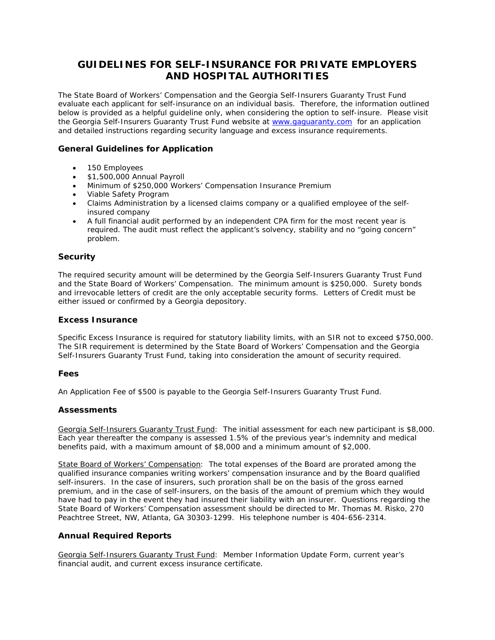# **GUIDELINES FOR SELF-INSURANCE FOR PRIVATE EMPLOYERS AND HOSPITAL AUTHORITIES**

The State Board of Workers' Compensation and the Georgia Self-Insurers Guaranty Trust Fund evaluate each applicant for self-insurance on an individual basis. Therefore, the information outlined below is provided as a helpful guideline only, when considering the option to self-insure. Please visit the Georgia Self-Insurers Guaranty Trust Fund website at [www.gaguaranty.com](http://www.gaguaranty.com/) for an application and detailed instructions regarding security language and excess insurance requirements.

## **General Guidelines for Application**

- 150 Employees
- \$1,500,000 Annual Payroll
- Minimum of \$250,000 Workers' Compensation Insurance Premium
- Viable Safety Program
- Claims Administration by a licensed claims company or a qualified employee of the selfinsured company
- A full financial audit performed by an independent CPA firm for the most recent year is required. The audit must reflect the applicant's solvency, stability and no "going concern" problem.

### **Security**

The required security amount will be determined by the Georgia Self-Insurers Guaranty Trust Fund and the State Board of Workers' Compensation. The minimum amount is \$250,000. Surety bonds and irrevocable letters of credit are the only acceptable security forms. Letters of Credit must be either issued or confirmed by a Georgia depository.

### **Excess Insurance**

Specific Excess Insurance is required for statutory liability limits, with an SIR not to exceed \$750,000. The SIR requirement is determined by the State Board of Workers' Compensation and the Georgia Self-Insurers Guaranty Trust Fund, taking into consideration the amount of security required.

#### **Fees**

An Application Fee of \$500 is payable to the Georgia Self-Insurers Guaranty Trust Fund.

## **Assessments**

Georgia Self-Insurers Guaranty Trust Fund: The initial assessment for each new participant is \$8,000. Each year thereafter the company is assessed 1.5% of the previous year's indemnity and medical benefits paid, with a maximum amount of \$8,000 and a minimum amount of \$2,000.

State Board of Workers' Compensation: The total expenses of the Board are prorated among the qualified insurance companies writing workers' compensation insurance and by the Board qualified self-insurers. In the case of insurers, such proration shall be on the basis of the gross earned premium, and in the case of self-insurers, on the basis of the amount of premium which they would have had to pay in the event they had insured their liability with an insurer. Questions regarding the State Board of Workers' Compensation assessment should be directed to Mr. Thomas M. Risko, 270 Peachtree Street, NW, Atlanta, GA 30303-1299. His telephone number is 404-656-2314.

## **Annual Required Reports**

Georgia Self-Insurers Guaranty Trust Fund: Member Information Update Form, current year's financial audit, and current excess insurance certificate.